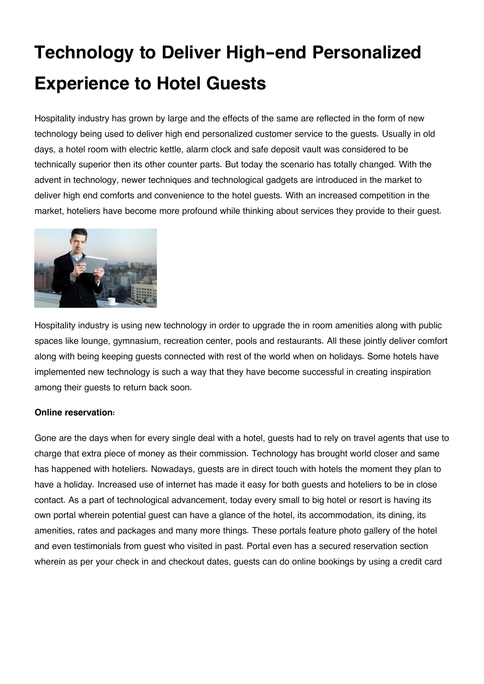## **Technology to Deliver High-end Personalized Experience to Hotel Guests**

Hospitality industry has grown by large and the effects of the same are reflected in the form of new technology being used to deliver high end personalized customer service to the guests. Usually in old days, a hotel room with electric kettle, alarm clock and safe deposit vault was considered to be technically superior then its other counter parts. But today the scenario has totally changed. With the advent in technology, newer techniques and technological gadgets are introduced in the market to deliver high end comforts and convenience to the hotel guests. With an increased competition in the market, hoteliers have become more profound while thinking about services they provide to their guest.



Hospitality industry is using new technology in order to upgrade the in room amenities along with public spaces like lounge, gymnasium, recreation center, pools and restaurants. All these jointly deliver comfort along with being keeping guests connected with rest of the world when on holidays. Some hotels have implemented new technology is such a way that they have become successful in creating inspiration among their guests to return back soon.

## **Online reservation:**

Gone are the days when for every single deal with a hotel, guests had to rely on travel agents that use to charge that extra piece of money as their commission. Technology has brought world closer and same has happened with hoteliers. Nowadays, guests are in direct touch with hotels the moment they plan to have a holiday. Increased use of internet has made it easy for both guests and hoteliers to be in close contact. As a part of technological advancement, today every small to big hotel or resort is having its own portal wherein potential guest can have a glance of the hotel, its accommodation, its dining, its amenities, rates and packages and many more things. These portals feature photo gallery of the hotel and even testimonials from guest who visited in past. Portal even has a secured reservation section wherein as per your check in and checkout dates, guests can do online bookings by using a credit card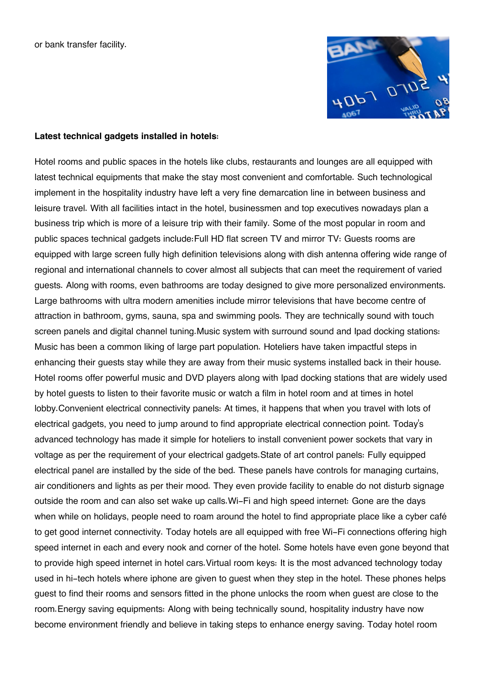or bank transfer facility.



## **Latest technical gadgets installed in hotels:**

Hotel rooms and public spaces in the hotels like clubs, restaurants and lounges are all equipped with latest technical equipments that make the stay most convenient and comfortable. Such technological implement in the hospitality industry have left a very fine demarcation line in between business and leisure travel. With all facilities intact in the hotel, businessmen and top executives nowadays plan a business trip which is more of a leisure trip with their family. Some of the most popular in room and public spaces technical gadgets include:Full HD flat screen TV and mirror TV: Guests rooms are equipped with large screen fully high definition televisions along with dish antenna offering wide range of regional and international channels to cover almost all subjects that can meet the requirement of varied guests. Along with rooms, even bathrooms are today designed to give more personalized environments. Large bathrooms with ultra modern amenities include mirror televisions that have become centre of attraction in bathroom, gyms, sauna, spa and swimming pools. They are technically sound with touch screen panels and digital channel tuning.Music system with surround sound and Ipad docking stations: Music has been a common liking of large part population. Hoteliers have taken impactful steps in enhancing their guests stay while they are away from their music systems installed back in their house. Hotel rooms offer powerful music and DVD players along with Ipad docking stations that are widely used by hotel guests to listen to their favorite music or watch a film in hotel room and at times in hotel lobby.Convenient electrical connectivity panels: At times, it happens that when you travel with lots of electrical gadgets, you need to jump around to find appropriate electrical connection point. Today's advanced technology has made it simple for hoteliers to install convenient power sockets that vary in voltage as per the requirement of your electrical gadgets.State of art control panels: Fully equipped electrical panel are installed by the side of the bed. These panels have controls for managing curtains, air conditioners and lights as per their mood. They even provide facility to enable do not disturb signage outside the room and can also set wake up calls.Wi-Fi and high speed internet: Gone are the days when while on holidays, people need to roam around the hotel to find appropriate place like a cyber café to get good internet connectivity. Today hotels are all equipped with free Wi-Fi connections offering high speed internet in each and every nook and corner of the hotel. Some hotels have even gone beyond that to provide high speed internet in hotel cars.Virtual room keys: It is the most advanced technology today used in hi-tech hotels where iphone are given to guest when they step in the hotel. These phones helps guest to find their rooms and sensors fitted in the phone unlocks the room when guest are close to the room.Energy saving equipments: Along with being technically sound, hospitality industry have now become environment friendly and believe in taking steps to enhance energy saving. Today hotel room